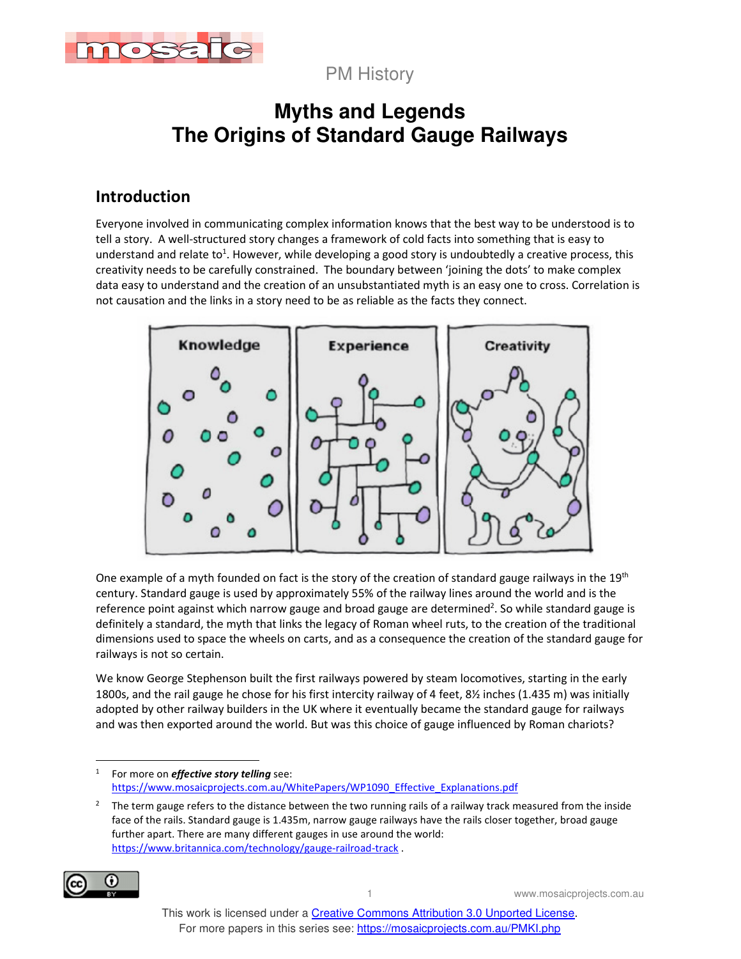

PM History

# **Myths and Legends The Origins of Standard Gauge Railways**

## **Introduction**

Everyone involved in communicating complex information knows that the best way to be understood is to tell a story. A well-structured story changes a framework of cold facts into something that is easy to understand and relate to<sup>1</sup>. However, while developing a good story is undoubtedly a creative process, this creativity needs to be carefully constrained. The boundary between 'joining the dots' to make complex data easy to understand and the creation of an unsubstantiated myth is an easy one to cross. Correlation is not causation and the links in a story need to be as reliable as the facts they connect.



One example of a myth founded on fact is the story of the creation of standard gauge railways in the 19<sup>th</sup> century. Standard gauge is used by approximately 55% of the railway lines around the world and is the reference point against which narrow gauge and broad gauge are determined<sup>2</sup>. So while standard gauge is definitely a standard, the myth that links the legacy of Roman wheel ruts, to the creation of the traditional dimensions used to space the wheels on carts, and as a consequence the creation of the standard gauge for railways is not so certain.

We know George Stephenson built the first railways powered by steam locomotives, starting in the early 1800s, and the rail gauge he chose for his first intercity railway of 4 feet, 8½ inches (1.435 m) was initially adopted by other railway builders in the UK where it eventually became the standard gauge for railways and was then exported around the world. But was this choice of gauge influenced by Roman chariots?

<sup>2</sup> The term gauge refers to the distance between the two running rails of a railway track measured from the inside face of the rails. Standard gauge is 1.435m, narrow gauge railways have the rails closer together, broad gauge further apart. There are many different gauges in use around the world: https://www.britannica.com/technology/gauge-railroad-track .



<sup>1</sup> For more on *effective story telling* see: https://www.mosaicprojects.com.au/WhitePapers/WP1090\_Effective\_Explanations.pdf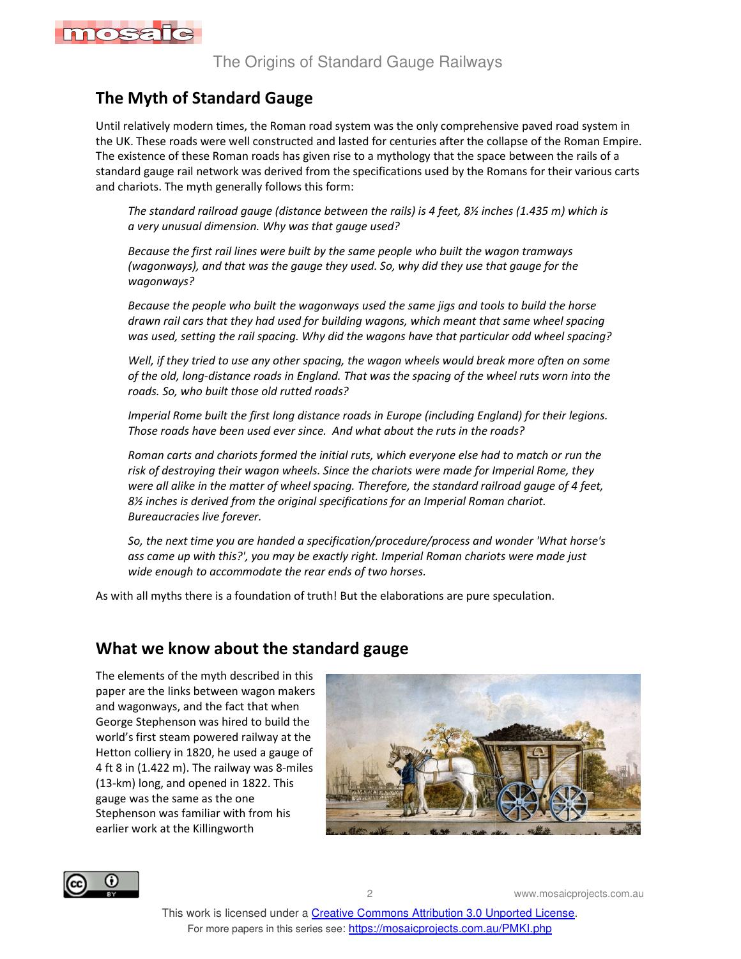

# **The Myth of Standard Gauge**

Until relatively modern times, the Roman road system was the only comprehensive paved road system in the UK. These roads were well constructed and lasted for centuries after the collapse of the Roman Empire. The existence of these Roman roads has given rise to a mythology that the space between the rails of a standard gauge rail network was derived from the specifications used by the Romans for their various carts and chariots. The myth generally follows this form:

*The standard railroad gauge (distance between the rails) is 4 feet, 8½ inches (1.435 m) which is a very unusual dimension. Why was that gauge used?* 

*Because the first rail lines were built by the same people who built the wagon tramways (wagonways), and that was the gauge they used. So, why did they use that gauge for the wagonways?* 

*Because the people who built the wagonways used the same jigs and tools to build the horse drawn rail cars that they had used for building wagons, which meant that same wheel spacing was used, setting the rail spacing. Why did the wagons have that particular odd wheel spacing?* 

*Well, if they tried to use any other spacing, the wagon wheels would break more often on some of the old, long-distance roads in England. That was the spacing of the wheel ruts worn into the roads. So, who built those old rutted roads?* 

*Imperial Rome built the first long distance roads in Europe (including England) for their legions. Those roads have been used ever since. And what about the ruts in the roads?* 

*Roman carts and chariots formed the initial ruts, which everyone else had to match or run the risk of destroying their wagon wheels. Since the chariots were made for Imperial Rome, they were all alike in the matter of wheel spacing. Therefore, the standard railroad gauge of 4 feet, 8½ inches is derived from the original specifications for an Imperial Roman chariot. Bureaucracies live forever.* 

*So, the next time you are handed a specification/procedure/process and wonder 'What horse's ass came up with this?', you may be exactly right. Imperial Roman chariots were made just wide enough to accommodate the rear ends of two horses.* 

As with all myths there is a foundation of truth! But the elaborations are pure speculation.

#### **What we know about the standard gauge**

The elements of the myth described in this paper are the links between wagon makers and wagonways, and the fact that when George Stephenson was hired to build the world's first steam powered railway at the Hetton colliery in 1820, he used a gauge of 4 ft 8 in (1.422 m). The railway was 8-miles (13-km) long, and opened in 1822. This gauge was the same as the one Stephenson was familiar with from his earlier work at the Killingworth



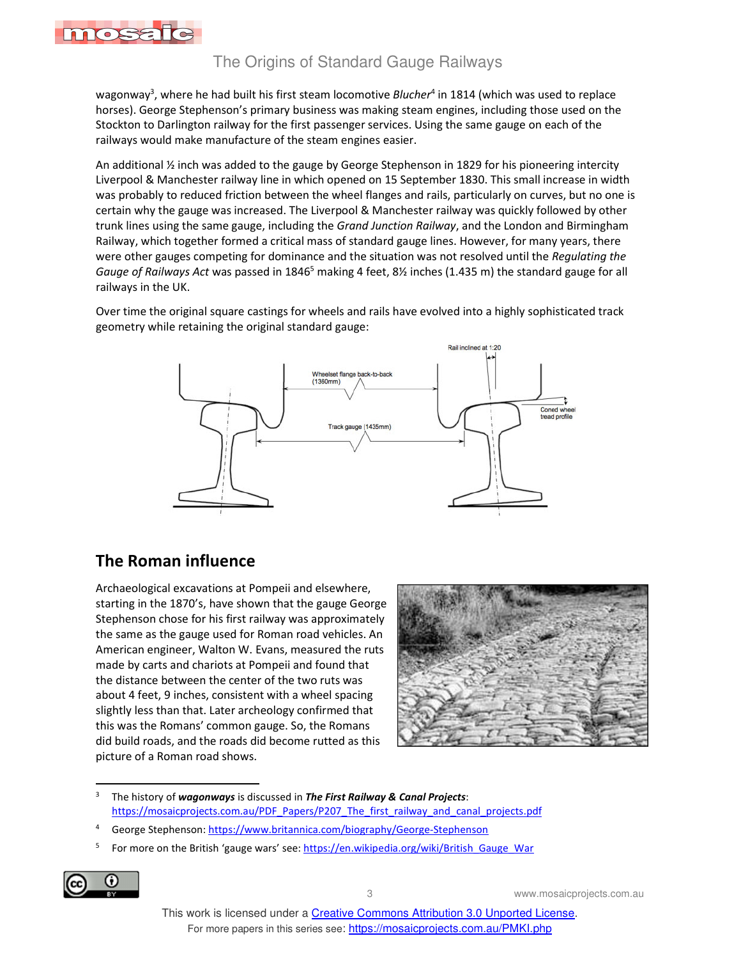

l

#### The Origins of Standard Gauge Railways

wagonway<sup>3</sup>, where he had built his first steam locomotive *Blucher*<sup>4</sup> in 1814 (which was used to replace horses). George Stephenson's primary business was making steam engines, including those used on the Stockton to Darlington railway for the first passenger services. Using the same gauge on each of the railways would make manufacture of the steam engines easier.

An additional ½ inch was added to the gauge by George Stephenson in 1829 for his pioneering intercity Liverpool & Manchester railway line in which opened on 15 September 1830. This small increase in width was probably to reduced friction between the wheel flanges and rails, particularly on curves, but no one is certain why the gauge was increased. The Liverpool & Manchester railway was quickly followed by other trunk lines using the same gauge, including the *Grand Junction Railway*, and the London and Birmingham Railway, which together formed a critical mass of standard gauge lines. However, for many years, there were other gauges competing for dominance and the situation was not resolved until the *Regulating the*  Gauge of Railways Act was passed in 1846<sup>5</sup> making 4 feet, 8½ inches (1.435 m) the standard gauge for all railways in the UK.

Over time the original square castings for wheels and rails have evolved into a highly sophisticated track geometry while retaining the original standard gauge:



#### **The Roman influence**

Archaeological excavations at Pompeii and elsewhere, starting in the 1870's, have shown that the gauge George Stephenson chose for his first railway was approximately the same as the gauge used for Roman road vehicles. An American engineer, Walton W. Evans, measured the ruts made by carts and chariots at Pompeii and found that the distance between the center of the two ruts was about 4 feet, 9 inches, consistent with a wheel spacing slightly less than that. Later archeology confirmed that this was the Romans' common gauge. So, the Romans did build roads, and the roads did become rutted as this picture of a Roman road shows.



<sup>3</sup> The history of *wagonways* is discussed in *The First Railway & Canal Projects*: https://mosaicprojects.com.au/PDF\_Papers/P207\_The\_first\_railway\_and\_canal\_projects.pdf

<sup>5</sup> For more on the British 'gauge wars' see: https://en.wikipedia.org/wiki/British\_Gauge\_War



<sup>4</sup> George Stephenson: https://www.britannica.com/biography/George-Stephenson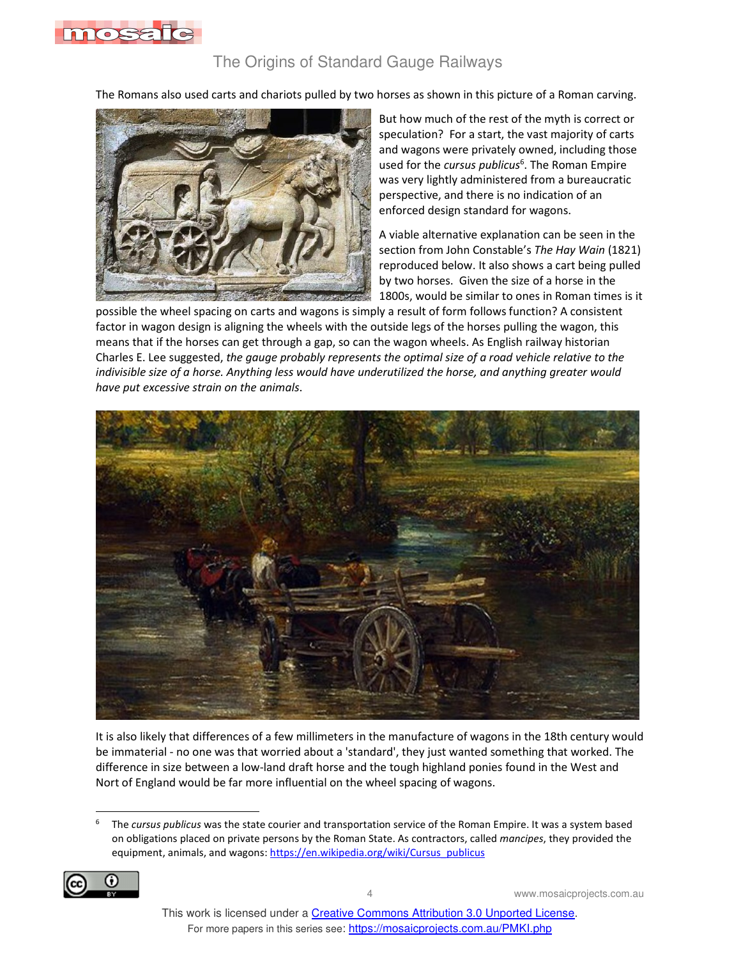

#### The Origins of Standard Gauge Railways

The Romans also used carts and chariots pulled by two horses as shown in this picture of a Roman carving.



l

But how much of the rest of the myth is correct or speculation? For a start, the vast majority of carts and wagons were privately owned, including those used for the *cursus publicus*<sup>6</sup>. The Roman Empire was very lightly administered from a bureaucratic perspective, and there is no indication of an enforced design standard for wagons.

A viable alternative explanation can be seen in the section from John Constable's *The Hay Wain* (1821) reproduced below. It also shows a cart being pulled by two horses. Given the size of a horse in the 1800s, would be similar to ones in Roman times is it

possible the wheel spacing on carts and wagons is simply a result of form follows function? A consistent factor in wagon design is aligning the wheels with the outside legs of the horses pulling the wagon, this means that if the horses can get through a gap, so can the wagon wheels. As English railway historian Charles E. Lee suggested, *the gauge probably represents the optimal size of a road vehicle relative to the indivisible size of a horse. Anything less would have underutilized the horse, and anything greater would have put excessive strain on the animals*.



It is also likely that differences of a few millimeters in the manufacture of wagons in the 18th century would be immaterial - no one was that worried about a 'standard', they just wanted something that worked. The difference in size between a low-land draft horse and the tough highland ponies found in the West and Nort of England would be far more influential on the wheel spacing of wagons.

<sup>6</sup> The *cursus publicus* was the state courier and transportation service of the Roman Empire. It was a system based on obligations placed on private persons by the Roman State. As contractors, called *mancipes*, they provided the equipment, animals, and wagons: https://en.wikipedia.org/wiki/Cursus\_publicus

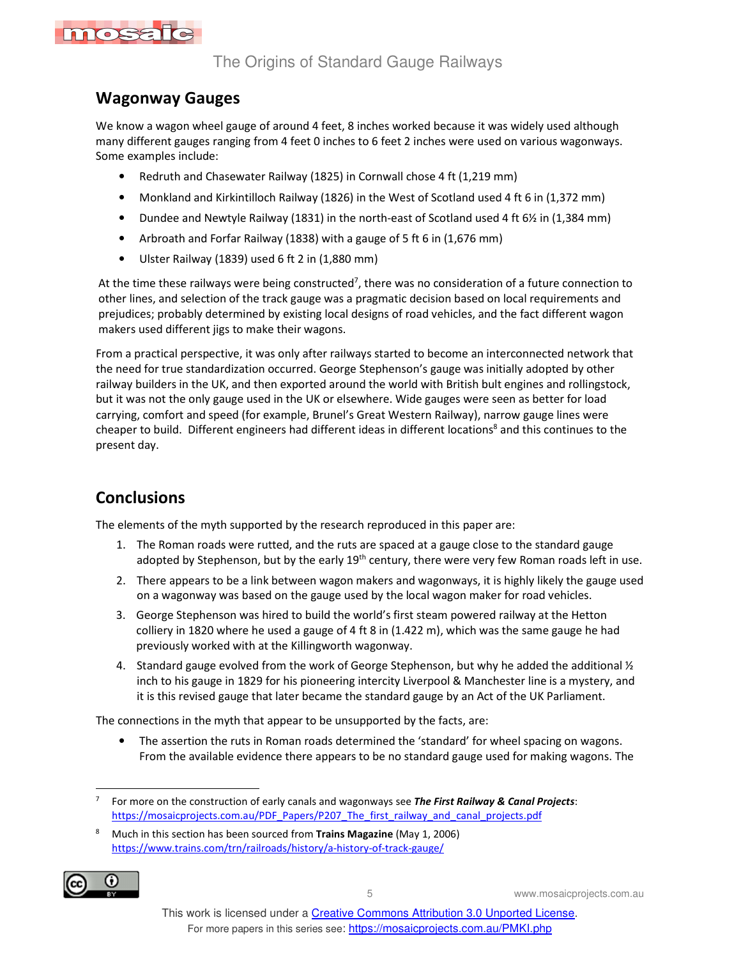

### **Wagonway Gauges**

We know a wagon wheel gauge of around 4 feet, 8 inches worked because it was widely used although many different gauges ranging from 4 feet 0 inches to 6 feet 2 inches were used on various wagonways. Some examples include:

- Redruth and Chasewater Railway (1825) in Cornwall chose 4 ft (1,219 mm)
- Monkland and Kirkintilloch Railway (1826) in the West of Scotland used 4 ft 6 in (1,372 mm)
- Dundee and Newtyle Railway (1831) in the north-east of Scotland used 4 ft 6½ in (1,384 mm)
- Arbroath and Forfar Railway (1838) with a gauge of 5 ft 6 in (1,676 mm)
- Ulster Railway (1839) used 6 ft 2 in (1,880 mm)

At the time these railways were being constructed<sup>7</sup>, there was no consideration of a future connection to other lines, and selection of the track gauge was a pragmatic decision based on local requirements and prejudices; probably determined by existing local designs of road vehicles, and the fact different wagon makers used different jigs to make their wagons.

From a practical perspective, it was only after railways started to become an interconnected network that the need for true standardization occurred. George Stephenson's gauge was initially adopted by other railway builders in the UK, and then exported around the world with British bult engines and rollingstock, but it was not the only gauge used in the UK or elsewhere. Wide gauges were seen as better for load carrying, comfort and speed (for example, Brunel's Great Western Railway), narrow gauge lines were cheaper to build. Different engineers had different ideas in different locations<sup>8</sup> and this continues to the present day.

# **Conclusions**

The elements of the myth supported by the research reproduced in this paper are:

- 1. The Roman roads were rutted, and the ruts are spaced at a gauge close to the standard gauge adopted by Stephenson, but by the early 19<sup>th</sup> century, there were very few Roman roads left in use.
- 2. There appears to be a link between wagon makers and wagonways, it is highly likely the gauge used on a wagonway was based on the gauge used by the local wagon maker for road vehicles.
- 3. George Stephenson was hired to build the world's first steam powered railway at the Hetton colliery in 1820 where he used a gauge of 4 ft 8 in (1.422 m), which was the same gauge he had previously worked with at the Killingworth wagonway.
- 4. Standard gauge evolved from the work of George Stephenson, but why he added the additional  $\mathcal{V}_2$ inch to his gauge in 1829 for his pioneering intercity Liverpool & Manchester line is a mystery, and it is this revised gauge that later became the standard gauge by an Act of the UK Parliament.

The connections in the myth that appear to be unsupported by the facts, are:

The assertion the ruts in Roman roads determined the 'standard' for wheel spacing on wagons. From the available evidence there appears to be no standard gauge used for making wagons. The

<sup>8</sup> Much in this section has been sourced from **Trains Magazine** (May 1, 2006) https://www.trains.com/trn/railroads/history/a-history-of-track-gauge/



<sup>7</sup> For more on the construction of early canals and wagonways see *The First Railway & Canal Projects*: https://mosaicprojects.com.au/PDF\_Papers/P207\_The\_first\_railway\_and\_canal\_projects.pdf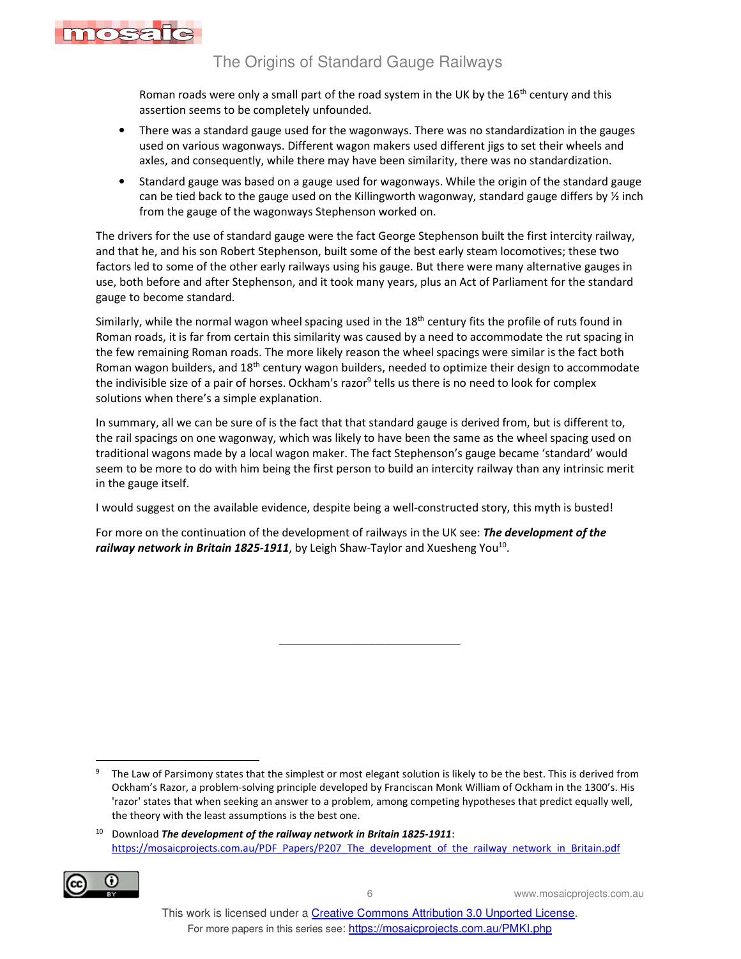

l

#### The Origins of Standard Gauge Railways

Roman roads were only a small part of the road system in the UK by the 16<sup>th</sup> century and this assertion seems to be completely unfounded.

- There was a standard gauge used for the wagonways. There was no standardization in the gauges used on various wagonways. Different wagon makers used different jigs to set their wheels and axles, and consequently, while there may have been similarity, there was no standardization.
- Standard gauge was based on a gauge used for wagonways. While the origin of the standard gauge can be tied back to the gauge used on the Killingworth wagonway, standard gauge differs by ½ inch from the gauge of the wagonways Stephenson worked on.

The drivers for the use of standard gauge were the fact George Stephenson built the first intercity railway, and that he, and his son Robert Stephenson, built some of the best early steam locomotives; these two factors led to some of the other early railways using his gauge. But there were many alternative gauges in use, both before and after Stephenson, and it took many years, plus an Act of Parliament for the standard gauge to become standard.

Similarly, while the normal wagon wheel spacing used in the  $18<sup>th</sup>$  century fits the profile of ruts found in Roman roads, it is far from certain this similarity was caused by a need to accommodate the rut spacing in the few remaining Roman roads. The more likely reason the wheel spacings were similar is the fact both Roman wagon builders, and 18th century wagon builders, needed to optimize their design to accommodate the indivisible size of a pair of horses. Ockham's razor<sup>9</sup> tells us there is no need to look for complex solutions when there's a simple explanation.

In summary, all we can be sure of is the fact that that standard gauge is derived from, but is different to, the rail spacings on one wagonway, which was likely to have been the same as the wheel spacing used on traditional wagons made by a local wagon maker. The fact Stephenson's gauge became 'standard' would seem to be more to do with him being the first person to build an intercity railway than any intrinsic merit in the gauge itself.

I would suggest on the available evidence, despite being a well-constructed story, this myth is busted!

For more on the continuation of the development of railways in the UK see: *The development of the*  railway network in Britain 1825-1911, by Leigh Shaw-Taylor and Xuesheng You<sup>10</sup>.

\_\_\_\_\_\_\_\_\_\_\_\_\_\_\_\_\_\_\_\_\_\_\_\_\_\_\_\_\_

<sup>10</sup> Download *The development of the railway network in Britain 1825-1911*: https://mosaicprojects.com.au/PDF\_Papers/P207\_The\_development\_of\_the\_railway\_network\_in\_Britain.pdf



<sup>9</sup> The Law of Parsimony states that the simplest or most elegant solution is likely to be the best. This is derived from Ockham's Razor, a problem-solving principle developed by Franciscan Monk William of Ockham in the 1300's. His 'razor' states that when seeking an answer to a problem, among competing hypotheses that predict equally well, the theory with the least assumptions is the best one.